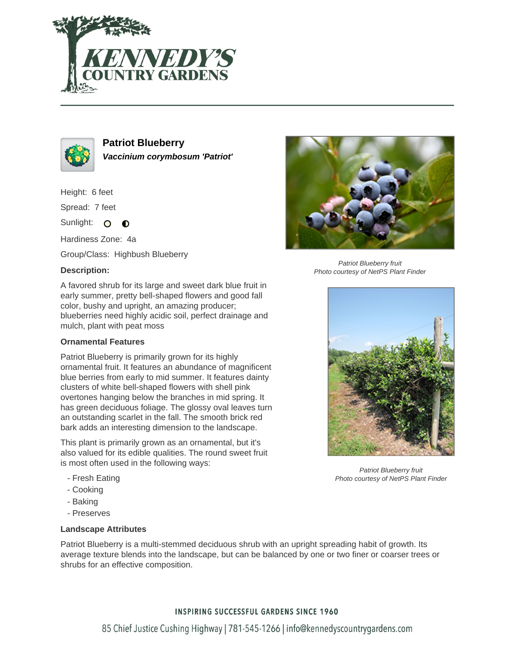



**Patriot Blueberry Vaccinium corymbosum 'Patriot'**

Height: 6 feet

Spread: 7 feet

Sunlight: O  $\bullet$ 

Hardiness Zone: 4a

Group/Class: Highbush Blueberry

# **Description:**

A favored shrub for its large and sweet dark blue fruit in early summer, pretty bell-shaped flowers and good fall color, bushy and upright, an amazing producer; blueberries need highly acidic soil, perfect drainage and mulch, plant with peat moss

### **Ornamental Features**

Patriot Blueberry is primarily grown for its highly ornamental fruit. It features an abundance of magnificent blue berries from early to mid summer. It features dainty clusters of white bell-shaped flowers with shell pink overtones hanging below the branches in mid spring. It has green deciduous foliage. The glossy oval leaves turn an outstanding scarlet in the fall. The smooth brick red bark adds an interesting dimension to the landscape.

This plant is primarily grown as an ornamental, but it's also valued for its edible qualities. The round sweet fruit is most often used in the following ways:

- Fresh Eating
- Cooking
- Baking
- Preserves

# **Landscape Attributes**

Patriot Blueberry is a multi-stemmed deciduous shrub with an upright spreading habit of growth. Its average texture blends into the landscape, but can be balanced by one or two finer or coarser trees or shrubs for an effective composition.

# **INSPIRING SUCCESSFUL GARDENS SINCE 1960**



Patriot Blueberry fruit Photo courtesy of NetPS Plant Finder



Patriot Blueberry fruit Photo courtesy of NetPS Plant Finder